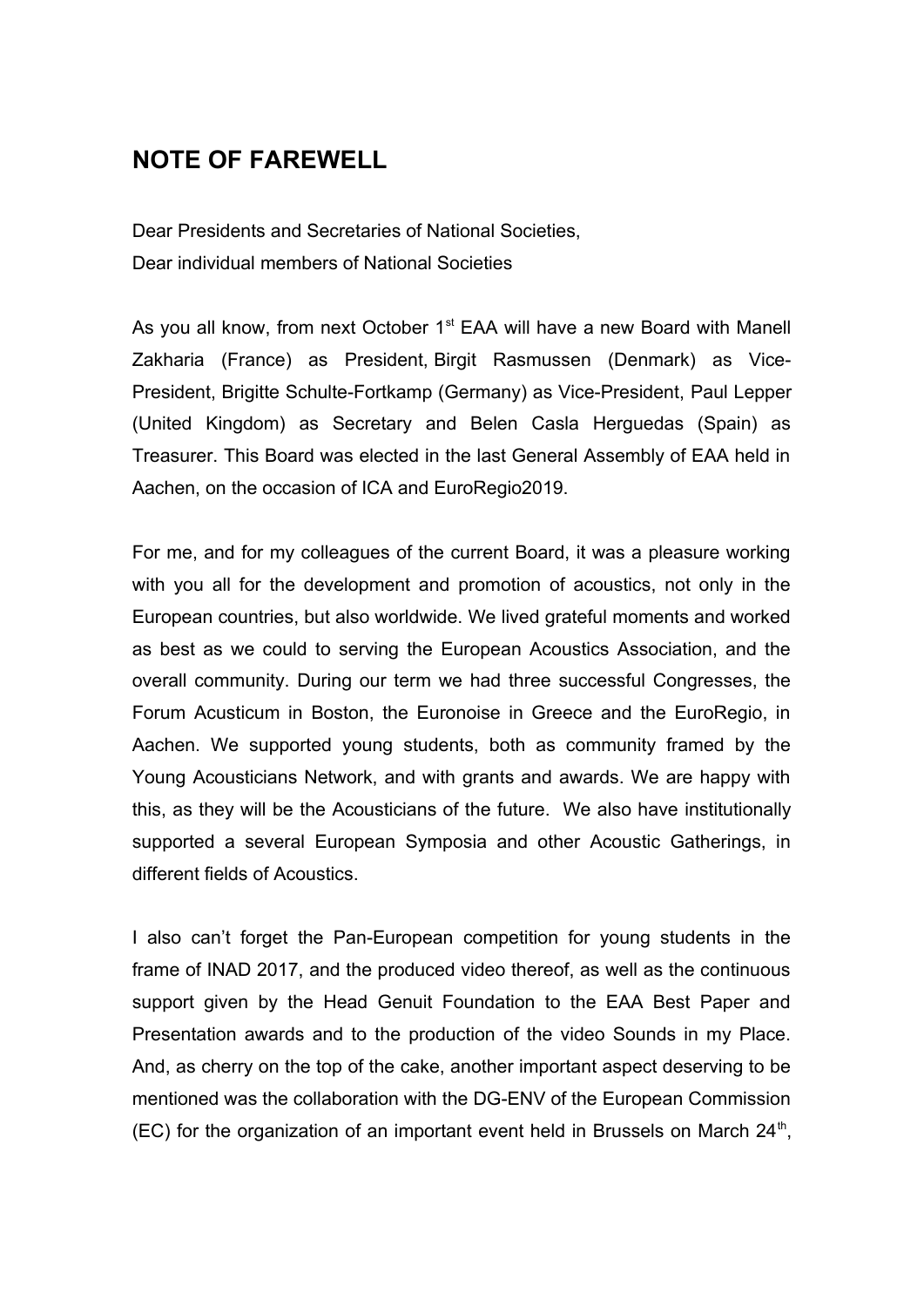## **NOTE OF FAREWELL**

Dear Presidents and Secretaries of National Societies, Dear individual members of National Societies

As you all know, from next October 1<sup>st</sup> EAA will have a new Board with Manell Zakharia (France) as President, Birgit Rasmussen (Denmark) as Vice-President, Brigitte Schulte-Fortkamp (Germany) as Vice-President, Paul Lepper (United Kingdom) as Secretary and Belen Casla Herguedas (Spain) as Treasurer. This Board was elected in the last General Assembly of EAA held in Aachen, on the occasion of ICA and EuroRegio2019.

For me, and for my colleagues of the current Board, it was a pleasure working with you all for the development and promotion of acoustics, not only in the European countries, but also worldwide. We lived grateful moments and worked as best as we could to serving the European Acoustics Association, and the overall community. During our term we had three successful Congresses, the Forum Acusticum in Boston, the Euronoise in Greece and the EuroRegio, in Aachen. We supported young students, both as community framed by the Young Acousticians Network, and with grants and awards. We are happy with this, as they will be the Acousticians of the future. We also have institutionally supported a several European Symposia and other Acoustic Gatherings, in different fields of Acoustics.

I also can't forget the Pan-European competition for young students in the frame of INAD 2017, and the produced video thereof, as well as the continuous support given by the Head Genuit Foundation to the EAA Best Paper and Presentation awards and to the production of the video Sounds in my Place. And, as cherry on the top of the cake, another important aspect deserving to be mentioned was the collaboration with the DG-ENV of the European Commission (EC) for the organization of an important event held in Brussels on March  $24^{\text{th}}$ ,